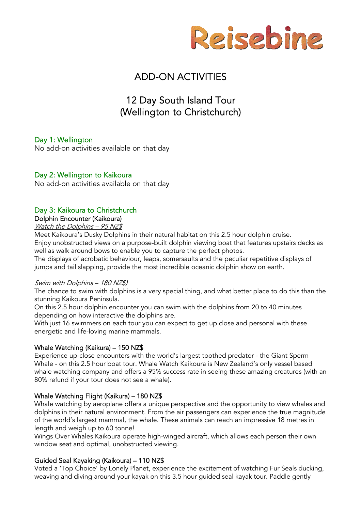

# ADD-ON ACTIVITIES

# 12 Day South Island Tour (Wellington to Christchurch)

# Day 1: Wellington

No add-on activities available on that day

# Day 2: Wellington to Kaikoura

No add-on activities available on that day

# Day 3: Kaikoura to Christchurch

#### Dolphin Encounter (Kaikoura)

#### Watch the Dolphins - 95 NZ\$

Meet Kaikoura's Dusky Dolphins in their natural habitat on this 2.5 hour dolphin cruise. Enjoy unobstructed views on a purpose-built dolphin viewing boat that features upstairs decks as well as walk around bows to enable you to capture the perfect photos.

The displays of acrobatic behaviour, leaps, somersaults and the peculiar repetitive displays of jumps and tail slapping, provide the most incredible oceanic dolphin show on earth.

#### Swim with Dolphins – 180 NZ\$)

The chance to swim with dolphins is a very special thing, and what better place to do this than the stunning Kaikoura Peninsula.

On this 2.5 hour dolphin encounter you can swim with the dolphins from 20 to 40 minutes depending on how interactive the dolphins are.

With just 16 swimmers on each tour you can expect to get up close and personal with these energetic and life-loving marine mammals.

#### Whale Watching (Kaikura) – 150 NZ\$

Experience up-close encounters with the world's largest toothed predator - the Giant Sperm Whale - on this 2.5 hour boat tour. Whale Watch Kaikoura is New Zealand's only vessel based whale watching company and offers a 95% success rate in seeing these amazing creatures (with an 80% refund if your tour does not see a whale).

#### Whale Watching Flight (Kaikura) – 180 NZ\$

Whale watching by aeroplane offers a unique perspective and the opportunity to view whales and dolphins in their natural environment. From the air passengers can experience the true magnitude of the world's largest mammal, the whale. These animals can reach an impressive 18 metres in length and weigh up to 60 tonne!

Wings Over Whales Kaikoura operate high-winged aircraft, which allows each person their own window seat and optimal, unobstructed viewing.

#### Guided Seal Kayaking (Kaikoura) – 110 NZ\$

Voted a 'Top Choice' by Lonely Planet, experience the excitement of watching Fur Seals ducking, weaving and diving around your kayak on this 3.5 hour guided seal kayak tour. Paddle gently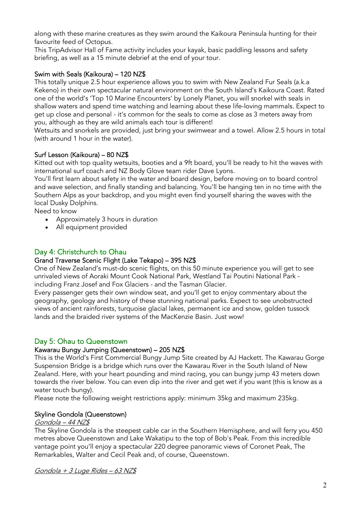along with these marine creatures as they swim around the Kaikoura Peninsula hunting for their favourite feed of Octopus.

This TripAdvisor Hall of Fame activity includes your kayak, basic paddling lessons and safety briefing, as well as a 15 minute debrief at the end of your tour.

# Swim with Seals (Kaikoura) – 120 NZ\$

This totally unique 2.5 hour experience allows you to swim with New Zealand Fur Seals (a.k.a Kekeno) in their own spectacular natural environment on the South Island's Kaikoura Coast. Rated one of the world's 'Top 10 Marine Encounters' by Lonely Planet, you will snorkel with seals in shallow waters and spend time watching and learning about these life-loving mammals. Expect to get up close and personal - it's common for the seals to come as close as 3 meters away from you, although as they are wild animals each tour is different!

Wetsuits and snorkels are provided, just bring your swimwear and a towel. Allow 2.5 hours in total (with around 1 hour in the water).

# Surf Lesson (Kaikoura) – 80 NZ\$

Kitted out with top quality wetsuits, booties and a 9ft board, you'll be ready to hit the waves with international surf coach and NZ Body Glove team rider Dave Lyons.

You'll first learn about safety in the water and board design, before moving on to board control and wave selection, and finally standing and balancing. You'll be hanging ten in no time with the Southern Alps as your backdrop, and you might even find yourself sharing the waves with the local Dusky Dolphins.

Need to know

- Approximately 3 hours in duration
- All equipment provided

# Day 4: Christchurch to Ohau

# Grand Traverse Scenic Flight (Lake Tekapo) – 395 NZ\$

One of New Zealand's must-do scenic flights, on this 50 minute experience you will get to see unrivaled views of Aoraki Mount Cook National Park, Westland Tai Poutini National Park including Franz Josef and Fox Glaciers - and the Tasman Glacier.

Every passenger gets their own window seat, and you'll get to enjoy commentary about the geography, geology and history of these stunning national parks. Expect to see unobstructed views of ancient rainforests, turquoise glacial lakes, permanent ice and snow, golden tussock lands and the braided river systems of the MacKenzie Basin. Just wow!

# Day 5: Ohau to Queenstown

# Kawarau Bungy Jumping (Queenstown) – 205 NZ\$

This is the World's First Commercial Bungy Jump Site created by AJ Hackett. The Kawarau Gorge Suspension Bridge is a bridge which runs over the Kawarau River in the South Island of New Zealand. Here, with your heart pounding and mind racing, you can bungy jump 43 meters down towards the river below. You can even dip into the river and get wet if you want (this is know as a water touch bungy).

Please note the following weight restrictions apply: minimum 35kg and maximum 235kg.

# Skyline Gondola (Queenstown)

#### Gondola – 44 NZ\$

The Skyline Gondola is the steepest cable car in the Southern Hemisphere, and will ferry you 450 metres above Queenstown and Lake Wakatipu to the top of Bob's Peak. From this incredible vantage point you'll enjoy a spectacular 220 degree panoramic views of Coronet Peak, The Remarkables, Walter and Cecil Peak and, of course, Queenstown.

Gondola + 3 Luge Rides – 63 NZ\$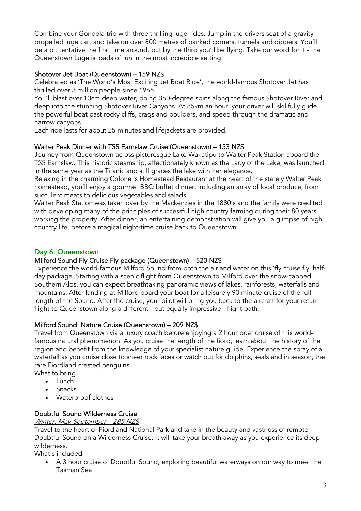Combine your Gondola trip with three thrilling luge rides. Jump in the drivers seat of a gravity propelled luge cart and take on over 800 metres of banked corners, tunnels and dippers. You'll be a bit tentative the first time around, but by the third you'll be flying. Take our word for it - the Queenstown Luge is loads of fun in the most incredible setting.

# Shotover Jet Boat (Queenstown) – 159 NZ\$

Celebrated as 'The World's Most Exciting Jet Boat Ride', the world-famous Shotover Jet has thrilled over 3 million people since 1965.

You'll blast over 10cm deep water, doing 360-degree spins along the famous Shotover River and deep into the stunning Shotover River Canyons. At 85km an hour, your driver will skillfully glide the powerful boat past rocky cliffs, crags and boulders, and speed through the dramatic and narrow canyons.

Each ride lasts for about 25 minutes and lifejackets are provided.

# Walter Peak Dinner with TSS Earnslaw Cruise (Queenstown) – 153 NZ\$

Journey from Queenstown across picturesque Lake Wakatipu to Walter Peak Station aboard the TSS Earnslaw. This historic steamship, affectionately known as the Lady of the Lake, was launched in the same year as the Titanic and still graces the lake with her elegance.

Relaxing in the charming Colonel's Homestead Restaurant at the heart of the stately Walter Peak homestead, you'll enjoy a gourmet BBQ buffet dinner, including an array of local produce, from succulent meats to delicious vegetables and salads.

Walter Peak Station was taken over by the Mackenzies in the 1880's and the family were credited with developing many of the principles of successful high country farming during their 80 years working the property. After dinner, an entertaining demonstration will give you a glimpse of high country life, before a magical night-time cruise back to Queenstown.

# Day 6: Queenstown

# Milford Sound Fly Cruise Fly package (Queenstown) – 520 NZ\$

Experience the world-famous Milford Sound from both the air and water on this 'fly cruise fly' halfday package. Starting with a scenic flight from Queenstown to Milford over the snow-capped Southern Alps, you can expect breathtaking panoramic views of lakes, rainforests, waterfalls and mountains. After landing at Milford board your boat for a leisurely 90 minute cruise of the full length of the Sound. After the cruise, your pilot will bring you back to the aircraft for your return flight to Queenstown along a different - but equally impressive - flight path.

# Milford Sound Nature Cruise (Queenstown) – 209 NZ\$

Travel from Queenstown via a luxury coach before enjoying a 2 hour boat cruise of this worldfamous natural phenomenon. As you cruise the length of the fiord, learn about the history of the region and benefit from the knowledge of your specialist nature guide. Experience the spray of a waterfall as you cruise close to sheer rock faces or watch out for dolphins, seals and in season, the rare Fiordland crested penguins.

What to bring

- Lunch
- **Snacks**
- Waterproof clothes

# Doubtful Sound Wilderness Cruise

Winter, May-September – 285 NZ\$

Travel to the heart of Fiordland National Park and take in the beauty and vastness of remote Doubtful Sound on a Wilderness Cruise. It will take your breath away as you experience its deep wilderness.

What's included

• A 3 hour cruise of Doubtful Sound, exploring beautiful waterways on our way to meet the Tasman Sea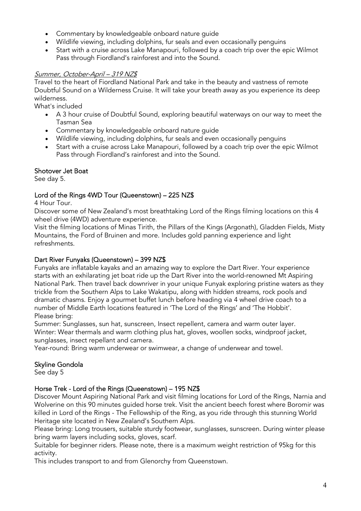- Commentary by knowledgeable onboard nature guide
- Wildlife viewing, including dolphins, fur seals and even occasionally penguins
- Start with a cruise across Lake Manapouri, followed by a coach trip over the epic Wilmot Pass through Fiordland's rainforest and into the Sound.

# Summer, October-April – 319 NZ\$

Travel to the heart of Fiordland National Park and take in the beauty and vastness of remote Doubtful Sound on a Wilderness Cruise. It will take your breath away as you experience its deep wilderness.

What's included

- A 3 hour cruise of Doubtful Sound, exploring beautiful waterways on our way to meet the Tasman Sea
- Commentary by knowledgeable onboard nature guide
- Wildlife viewing, including dolphins, fur seals and even occasionally penguins
- Start with a cruise across Lake Manapouri, followed by a coach trip over the epic Wilmot Pass through Fiordland's rainforest and into the Sound.

# Shotover Jet Boat

See day 5.

# Lord of the Rings 4WD Tour (Queenstown) – 225 NZ\$

4 Hour Tour.

Discover some of New Zealand's most breathtaking Lord of the Rings filming locations on this 4 wheel drive (4WD) adventure experience.

Visit the filming locations of Minas Tirith, the Pillars of the Kings (Argonath), Gladden Fields, Misty Mountains, the Ford of Bruinen and more. Includes gold panning experience and light refreshments.

## Dart River Funyaks (Queenstown) – 399 NZ\$

Funyaks are inflatable kayaks and an amazing way to explore the Dart River. Your experience starts with an exhilarating jet boat ride up the Dart River into the world-renowned Mt Aspiring National Park. Then travel back downriver in your unique Funyak exploring pristine waters as they trickle from the Southern Alps to Lake Wakatipu, along with hidden streams, rock pools and dramatic chasms. Enjoy a gourmet buffet lunch before heading via 4 wheel drive coach to a number of Middle Earth locations featured in 'The Lord of the Rings' and 'The Hobbit'. Please bring:

Summer: Sunglasses, sun hat, sunscreen, Insect repellent, camera and warm outer layer. Winter: Wear thermals and warm clothing plus hat, gloves, woollen socks, windproof jacket, sunglasses, insect repellant and camera.

Year-round: Bring warm underwear or swimwear, a change of underwear and towel.

# Skyline Gondola

See day 5

#### Horse Trek - Lord of the Rings (Queenstown) – 195 NZ\$

Discover Mount Aspiring National Park and visit filming locations for Lord of the Rings, Narnia and Wolverine on this 90 minutes guided horse trek. Visit the ancient beech forest where Boromir was killed in Lord of the Rings - The Fellowship of the Ring, as you ride through this stunning World Heritage site located in New Zealand's Southern Alps.

Please bring: Long trousers, suitable sturdy footwear, sunglasses, sunscreen. During winter please bring warm layers including socks, gloves, scarf.

Suitable for beginner riders. Please note, there is a maximum weight restriction of 95kg for this activity.

This includes transport to and from Glenorchy from Queenstown.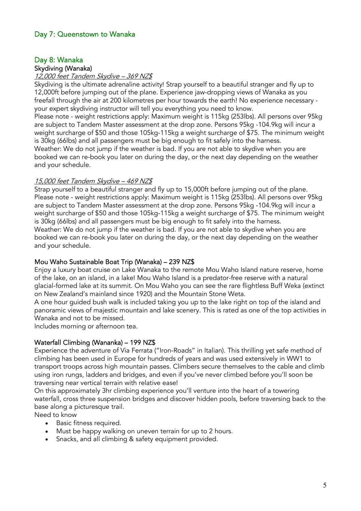# Day 7: Queenstown to Wanaka

# Day 8: Wanaka

#### Skydiving (Wanaka)

#### 12,000 feet Tandem Skydive – 369 NZ\$

Skydiving is the ultimate adrenaline activity! Strap yourself to a beautiful stranger and fly up to 12,000ft before jumping out of the plane. Experience jaw-dropping views of Wanaka as you freefall through the air at 200 kilometres per hour towards the earth! No experience necessary your expert skydiving instructor will tell you everything you need to know.

Please note - weight restrictions apply: Maximum weight is 115kg (253lbs). All persons over 95kg are subject to Tandem Master assessment at the drop zone. Persons 95kg -104.9kg will incur a weight surcharge of \$50 and those 105kg-115kg a weight surcharge of \$75. The minimum weight is 30kg (66lbs) and all passengers must be big enough to fit safely into the harness. Weather: We do not jump if the weather is bad. If you are not able to skydive when you are booked we can re-book you later on during the day, or the next day depending on the weather and your schedule.

#### 15,000 feet Tandem Skydive – 469 NZ\$

Strap yourself to a beautiful stranger and fly up to 15,000ft before jumping out of the plane. Please note - weight restrictions apply: Maximum weight is 115kg (253lbs). All persons over 95kg are subject to Tandem Master assessment at the drop zone. Persons 95kg -104.9kg will incur a weight surcharge of \$50 and those 105kg-115kg a weight surcharge of \$75. The minimum weight is 30kg (66lbs) and all passengers must be big enough to fit safely into the harness. Weather: We do not jump if the weather is bad. If you are not able to skydive when you are booked we can re-book you later on during the day, or the next day depending on the weather and your schedule.

#### Mou Waho Sustainable Boat Trip (Wanaka) – 239 NZ\$

Enjoy a luxury boat cruise on Lake Wanaka to the remote Mou Waho Island nature reserve, home of the lake, on an island, in a lake! Mou Waho Island is a predator-free reserve with a natural glacial-formed lake at its summit. On Mou Waho you can see the rare flightless Buff Weka (extinct on New Zealand's mainland since 1920) and the Mountain Stone Weta.

A one hour guided bush walk is included taking you up to the lake right on top of the island and panoramic views of majestic mountain and lake scenery. This is rated as one of the top activities in Wanaka and not to be missed.

Includes morning or afternoon tea.

#### Waterfall Climbing (Wananka) – 199 NZ\$

Experience the adventure of Via Ferrata ("Iron-Roads" in Italian). This thrilling yet safe method of climbing has been used in Europe for hundreds of years and was used extensively in WW1 to transport troops across high mountain passes. Climbers secure themselves to the cable and climb using iron rungs, ladders and bridges, and even if you've never climbed before you'll soon be traversing near vertical terrain with relative ease!

On this approximately 3hr climbing experience you'll venture into the heart of a towering waterfall, cross three suspension bridges and discover hidden pools, before traversing back to the base along a picturesque trail.

Need to know

- Basic fitness required.
- Must be happy walking on uneven terrain for up to 2 hours.
- Snacks, and all climbing & safety equipment provided.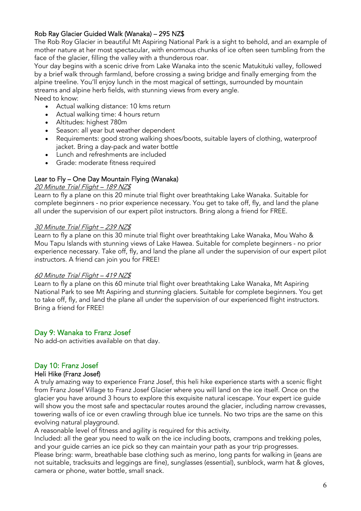## Rob Ray Glacier Guided Walk (Wanaka) – 295 NZ\$

The Rob Roy Glacier in beautiful Mt Aspiring National Park is a sight to behold, and an example of mother nature at her most spectacular, with enormous chunks of ice often seen tumbling from the face of the glacier, filling the valley with a thunderous roar.

Your day begins with a scenic drive from Lake Wanaka into the scenic Matukituki valley, followed by a brief walk through farmland, before crossing a swing bridge and finally emerging from the alpine treeline. You'll enjoy lunch in the most magical of settings, surrounded by mountain streams and alpine herb fields, with stunning views from every angle.

Need to know:

- Actual walking distance: 10 kms return
- Actual walking time: 4 hours return
- Altitudes: highest 780m
- Season: all year but weather dependent
- Requirements: good strong walking shoes/boots, suitable layers of clothing, waterproof jacket. Bring a day-pack and water bottle
- Lunch and refreshments are included
- Grade: moderate fitness required

#### Lear to Fly – One Day Mountain Flying (Wanaka)

#### 20 Minute Trial Flight - 189 NZ\$

Learn to fly a plane on this 20 minute trial flight over breathtaking Lake Wanaka. Suitable for complete beginners - no prior experience necessary. You get to take off, fly, and land the plane all under the supervision of our expert pilot instructors. Bring along a friend for FREE.

#### 30 Minute Trial Flight – 239 NZ\$

Learn to fly a plane on this 30 minute trial flight over breathtaking Lake Wanaka, Mou Waho & Mou Tapu Islands with stunning views of Lake Hawea. Suitable for complete beginners - no prior experience necessary. Take off, fly, and land the plane all under the supervision of our expert pilot instructors. A friend can join you for FREE!

#### 60 Minute Trial Flight – 419 NZ\$

Learn to fly a plane on this 60 minute trial flight over breathtaking Lake Wanaka, Mt Aspiring National Park to see Mt Aspiring and stunning glaciers. Suitable for complete beginners. You get to take off, fly, and land the plane all under the supervision of our experienced flight instructors. Bring a friend for FREE!

#### Day 9: Wanaka to Franz Josef

No add-on activities available on that day.

#### Day 10: Franz Josef

#### Heli Hike (Franz Josef)

A truly amazing way to experience Franz Josef, this heli hike experience starts with a scenic flight from Franz Josef Village to Franz Josef Glacier where you will land on the ice itself. Once on the glacier you have around 3 hours to explore this exquisite natural icescape. Your expert ice guide will show you the most safe and spectacular routes around the glacier, including narrow crevasses, towering walls of ice or even crawling through blue ice tunnels. No two trips are the same on this evolving natural playground.

A reasonable level of fitness and agility is required for this activity.

Included: all the gear you need to walk on the ice including boots, crampons and trekking poles, and your guide carries an ice pick so they can maintain your path as your trip progresses.

Please bring: warm, breathable base clothing such as merino, long pants for walking in (jeans are not suitable, tracksuits and leggings are fine), sunglasses (essential), sunblock, warm hat & gloves, camera or phone, water bottle, small snack.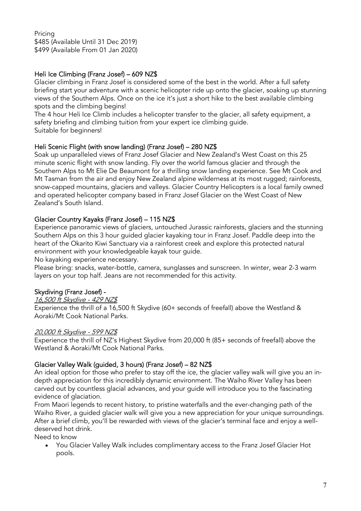Pricing \$485 (Available Until 31 Dec 2019) \$499 (Available From 01 Jan 2020)

# Heli Ice Climbing (Franz Josef) – 609 NZ\$

Glacier climbing in Franz Josef is considered some of the best in the world. After a full safety briefing start your adventure with a scenic helicopter ride up onto the glacier, soaking up stunning views of the Southern Alps. Once on the ice it's just a short hike to the best available climbing spots and the climbing begins!

The 4 hour Heli Ice Climb includes a helicopter transfer to the glacier, all safety equipment, a safety briefing and climbing tuition from your expert ice climbing guide. Suitable for beginners!

# Heli Scenic Flight (with snow landing) (Franz Josef) – 280 NZ\$

Soak up unparalleled views of Franz Josef Glacier and New Zealand's West Coast on this 25 minute scenic flight with snow landing. Fly over the world famous glacier and through the Southern Alps to Mt Elie De Beaumont for a thrilling snow landing experience. See Mt Cook and Mt Tasman from the air and enjoy New Zealand alpine wilderness at its most rugged; rainforests, snow-capped mountains, glaciers and valleys. Glacier Country Helicopters is a local family owned and operated helicopter company based in Franz Josef Glacier on the West Coast of New Zealand's South Island.

# Glacier Country Kayaks (Franz Josef) – 115 NZ\$

Experience panoramic views of glaciers, untouched Jurassic rainforests, glaciers and the stunning Southern Alps on this 3 hour guided glacier kayaking tour in Franz Josef. Paddle deep into the heart of the Okarito Kiwi Sanctuary via a rainforest creek and explore this protected natural environment with your knowledgeable kayak tour guide.

No kayaking experience necessary.

Please bring: snacks, water-bottle, camera, sunglasses and sunscreen. In winter, wear 2-3 warm layers on your top half. Jeans are not recommended for this activity.

# Skydiving (Franz Josef) -

#### 16,500 ft Skydive - 429 NZ\$ Experience the thrill of a 16,500 ft Skydive (60+ seconds of freefall) above the Westland & Aoraki/Mt Cook National Parks.

#### 20,000 ft Skydive - 599 NZ\$

Experience the thrill of NZ's Highest Skydive from 20,000 ft (85+ seconds of freefall) above the Westland & Aoraki/Mt Cook National Parks.

#### Glacier Valley Walk (guided, 3 hours) (Franz Josef) – 82 NZ\$

An ideal option for those who prefer to stay off the ice, the glacier valley walk will give you an indepth appreciation for this incredibly dynamic environment. The Waiho River Valley has been carved out by countless glacial advances, and your guide will introduce you to the fascinating evidence of glaciation.

From Maori legends to recent history, to pristine waterfalls and the ever-changing path of the Waiho River, a guided glacier walk will give you a new appreciation for your unique surroundings. After a brief climb, you'll be rewarded with views of the glacier's terminal face and enjoy a welldeserved hot drink.

Need to know

• You Glacier Valley Walk includes complimentary access to the Franz Josef Glacier Hot pools.